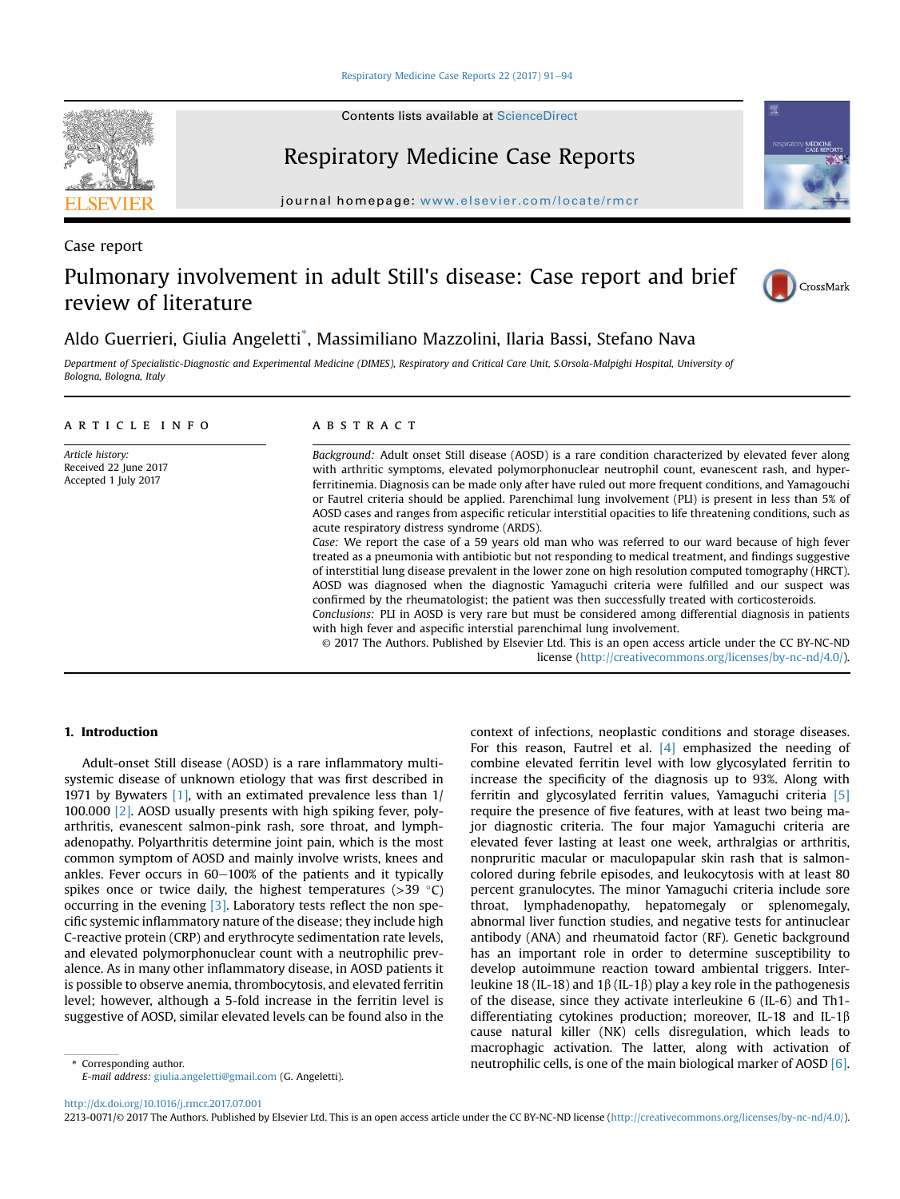[Respiratory Medicine Case Reports 22 \(2017\) 91](http://dx.doi.org/10.1016/j.rmcr.2017.07.001)-[94](http://dx.doi.org/10.1016/j.rmcr.2017.07.001)

Contents lists available at ScienceDirect

# Respiratory Medicine Case Reports

journal homepage: [www.elsevier.com/locate/rmcr](http://www.elsevier.com/locate/rmcr)

Case report

## Pulmonary involvement in adult Still's disease: Case report and brief review of literature



Aldo Guerrieri, Giulia Angeletti\* , Massimiliano Mazzolini, Ilaria Bassi, Stefano Nava

Department of Specialistic-Diagnostic and Experimental Medicine (DIMES), Respiratory and Critical Care Unit, S.Orsola-Malpighi Hospital, University of Bologna, Bologna, Italy

#### article info

Article history: Received 22 June 2017 Accepted 1 July 2017

#### ABSTRACT

Background: Adult onset Still disease (AOSD) is a rare condition characterized by elevated fever along with arthritic symptoms, elevated polymorphonuclear neutrophil count, evanescent rash, and hyperferritinemia. Diagnosis can be made only after have ruled out more frequent conditions, and Yamagouchi or Fautrel criteria should be applied. Parenchimal lung involvement (PLI) is present in less than 5% of AOSD cases and ranges from aspecific reticular interstitial opacities to life threatening conditions, such as acute respiratory distress syndrome (ARDS).

Case: We report the case of a 59 years old man who was referred to our ward because of high fever treated as a pneumonia with antibiotic but not responding to medical treatment, and findings suggestive of interstitial lung disease prevalent in the lower zone on high resolution computed tomography (HRCT). AOSD was diagnosed when the diagnostic Yamaguchi criteria were fulfilled and our suspect was confirmed by the rheumatologist; the patient was then successfully treated with corticosteroids.

Conclusions: PLI in AOSD is very rare but must be considered among differential diagnosis in patients with high fever and aspecific interstial parenchimal lung involvement.

© 2017 The Authors. Published by Elsevier Ltd. This is an open access article under the CC BY-NC-ND license [\(http://creativecommons.org/licenses/by-nc-nd/4.0/](http://creativecommons.org/licenses/by-nc-nd/4.0/)).

### 1. Introduction

Adult-onset Still disease (AOSD) is a rare inflammatory multisystemic disease of unknown etiology that was first described in 1971 by Bywaters [\[1\],](#page-3-0) with an extimated prevalence less than 1/ 100.000 [\[2\].](#page-3-0) AOSD usually presents with high spiking fever, polyarthritis, evanescent salmon-pink rash, sore throat, and lymphadenopathy. Polyarthritis determine joint pain, which is the most common symptom of AOSD and mainly involve wrists, knees and ankles. Fever occurs in  $60-100%$  of the patients and it typically spikes once or twice daily, the highest temperatures ( $>$ 39 °C) occurring in the evening [\[3\].](#page-3-0) Laboratory tests reflect the non specific systemic inflammatory nature of the disease; they include high C-reactive protein (CRP) and erythrocyte sedimentation rate levels, and elevated polymorphonuclear count with a neutrophilic prevalence. As in many other inflammatory disease, in AOSD patients it is possible to observe anemia, thrombocytosis, and elevated ferritin level; however, although a 5-fold increase in the ferritin level is suggestive of AOSD, similar elevated levels can be found also in the

context of infections, neoplastic conditions and storage diseases. For this reason, Fautrel et al. [\[4\]](#page-3-0) emphasized the needing of combine elevated ferritin level with low glycosylated ferritin to increase the specificity of the diagnosis up to 93%. Along with ferritin and glycosylated ferritin values, Yamaguchi criteria [\[5\]](#page-3-0) require the presence of five features, with at least two being major diagnostic criteria. The four major Yamaguchi criteria are elevated fever lasting at least one week, arthralgias or arthritis, nonpruritic macular or maculopapular skin rash that is salmoncolored during febrile episodes, and leukocytosis with at least 80 percent granulocytes. The minor Yamaguchi criteria include sore throat, lymphadenopathy, hepatomegaly or splenomegaly, abnormal liver function studies, and negative tests for antinuclear antibody (ANA) and rheumatoid factor (RF). Genetic background has an important role in order to determine susceptibility to develop autoimmune reaction toward ambiental triggers. Interleukine 18 (IL-18) and 1 $\beta$  (IL-1 $\beta$ ) play a key role in the pathogenesis of the disease, since they activate interleukine 6 (IL-6) and Th1 differentiating cytokines production; moreover, IL-18 and IL-1 $\beta$ cause natural killer (NK) cells disregulation, which leads to macrophagic activation. The latter, along with activation of \* Corresponding author. The main biological marker of AOSD [\[6\].](#page-3-0) Neutrophilic cells, is one of the main biological marker of AOSD [6].

E-mail address: [giulia.angeletti@gmail.com](mailto:giulia.angeletti@gmail.com) (G. Angeletti).

<http://dx.doi.org/10.1016/j.rmcr.2017.07.001>

2213-0071/© 2017 The Authors. Published by Elsevier Ltd. This is an open access article under the CC BY-NC-ND license ([http://creativecommons.org/licenses/by-nc-nd/4.0/\)](http://creativecommons.org/licenses/by-nc-nd/4.0/).

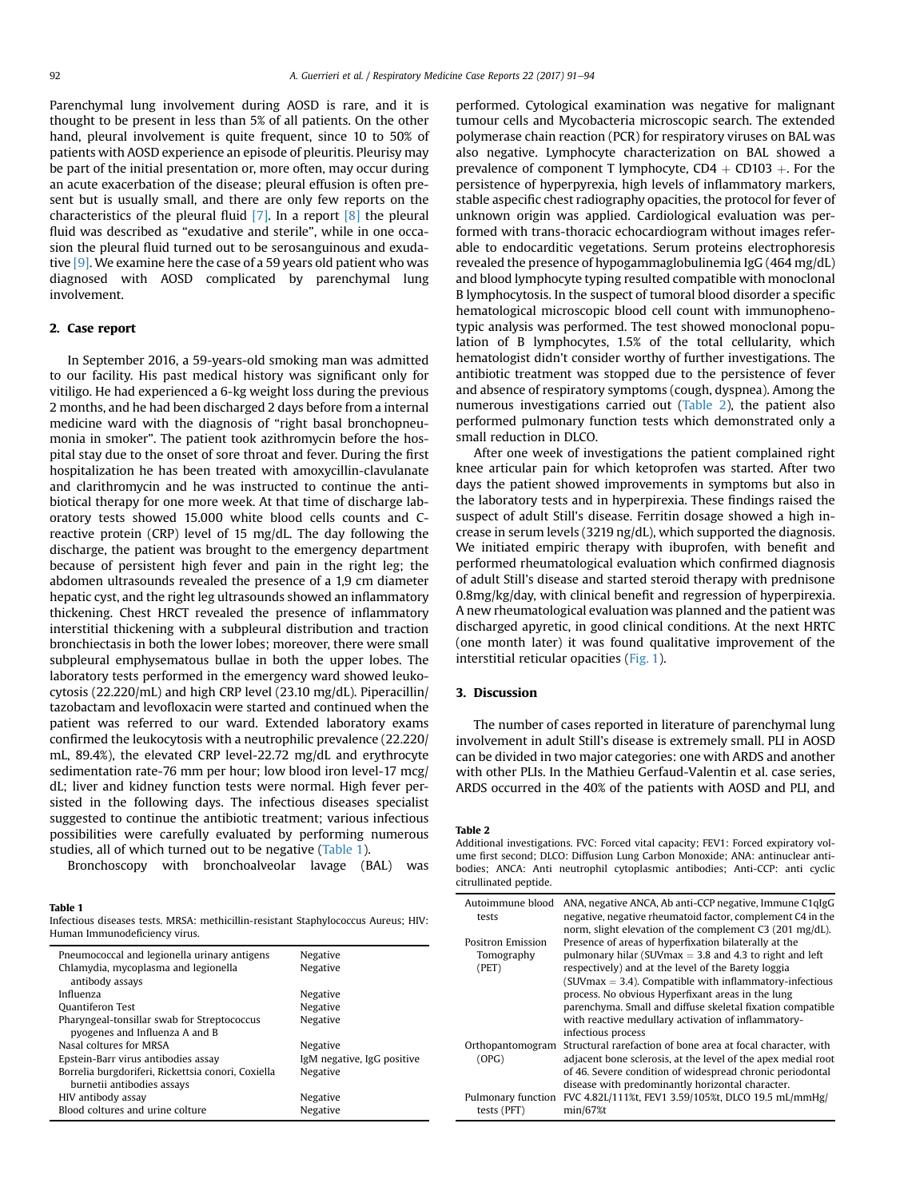Parenchymal lung involvement during AOSD is rare, and it is thought to be present in less than 5% of all patients. On the other hand, pleural involvement is quite frequent, since 10 to 50% of patients with AOSD experience an episode of pleuritis. Pleurisy may be part of the initial presentation or, more often, may occur during an acute exacerbation of the disease; pleural effusion is often present but is usually small, and there are only few reports on the characteristics of the pleural fluid  $[7]$ . In a report  $[8]$  the pleural fluid was described as "exudative and sterile", while in one occasion the pleural fluid turned out to be serosanguinous and exudative [\[9\]](#page-3-0). We examine here the case of a 59 years old patient who was diagnosed with AOSD complicated by parenchymal lung involvement.

### 2. Case report

In September 2016, a 59-years-old smoking man was admitted to our facility. His past medical history was significant only for vitiligo. He had experienced a 6-kg weight loss during the previous 2 months, and he had been discharged 2 days before from a internal medicine ward with the diagnosis of "right basal bronchopneumonia in smoker". The patient took azithromycin before the hospital stay due to the onset of sore throat and fever. During the first hospitalization he has been treated with amoxycillin-clavulanate and clarithromycin and he was instructed to continue the antibiotical therapy for one more week. At that time of discharge laboratory tests showed 15.000 white blood cells counts and Creactive protein (CRP) level of 15 mg/dL. The day following the discharge, the patient was brought to the emergency department because of persistent high fever and pain in the right leg; the abdomen ultrasounds revealed the presence of a 1,9 cm diameter hepatic cyst, and the right leg ultrasounds showed an inflammatory thickening. Chest HRCT revealed the presence of inflammatory interstitial thickening with a subpleural distribution and traction bronchiectasis in both the lower lobes; moreover, there were small subpleural emphysematous bullae in both the upper lobes. The laboratory tests performed in the emergency ward showed leukocytosis (22.220/mL) and high CRP level (23.10 mg/dL). Piperacillin/ tazobactam and levofloxacin were started and continued when the patient was referred to our ward. Extended laboratory exams confirmed the leukocytosis with a neutrophilic prevalence (22.220/ mL, 89.4%), the elevated CRP level-22.72 mg/dL and erythrocyte sedimentation rate-76 mm per hour; low blood iron level-17 mcg/ dL; liver and kidney function tests were normal. High fever persisted in the following days. The infectious diseases specialist suggested to continue the antibiotic treatment; various infectious possibilities were carefully evaluated by performing numerous studies, all of which turned out to be negative (Table 1).

Bronchoscopy with bronchoalveolar lavage (BAL) was

### Table 1

Infectious diseases tests. MRSA: methicillin-resistant Staphylococcus Aureus; HIV: Human Immunodeficiency virus.

| Pneumococcal and legionella urinary antigens       | Negative                   |
|----------------------------------------------------|----------------------------|
| Chlamydia, mycoplasma and legionella               | Negative                   |
| antibody assays                                    |                            |
| Influenza                                          | Negative                   |
| <b>Ouantiferon Test</b>                            | Negative                   |
| Pharyngeal-tonsillar swab for Streptococcus        | Negative                   |
| pyogenes and Influenza A and B                     |                            |
| Nasal coltures for MRSA                            | Negative                   |
| Epstein-Barr virus antibodies assay                | IgM negative, IgG positive |
| Borrelia burgdoriferi, Rickettsia conori, Coxiella | Negative                   |
| burnetii antibodies assays                         |                            |
| HIV antibody assay                                 | Negative                   |
| Blood coltures and urine colture                   | Negative                   |
|                                                    |                            |

performed. Cytological examination was negative for malignant tumour cells and Mycobacteria microscopic search. The extended polymerase chain reaction (PCR) for respiratory viruses on BAL was also negative. Lymphocyte characterization on BAL showed a prevalence of component T lymphocyte,  $CD4 + CD103 +$ . For the persistence of hyperpyrexia, high levels of inflammatory markers, stable aspecific chest radiography opacities, the protocol for fever of unknown origin was applied. Cardiological evaluation was performed with trans-thoracic echocardiogram without images referable to endocarditic vegetations. Serum proteins electrophoresis revealed the presence of hypogammaglobulinemia IgG (464 mg/dL) and blood lymphocyte typing resulted compatible with monoclonal B lymphocytosis. In the suspect of tumoral blood disorder a specific hematological microscopic blood cell count with immunophenotypic analysis was performed. The test showed monoclonal population of B lymphocytes, 1.5% of the total cellularity, which hematologist didn't consider worthy of further investigations. The antibiotic treatment was stopped due to the persistence of fever and absence of respiratory symptoms (cough, dyspnea). Among the numerous investigations carried out (Table 2), the patient also performed pulmonary function tests which demonstrated only a small reduction in DLCO.

After one week of investigations the patient complained right knee articular pain for which ketoprofen was started. After two days the patient showed improvements in symptoms but also in the laboratory tests and in hyperpirexia. These findings raised the suspect of adult Still's disease. Ferritin dosage showed a high increase in serum levels (3219 ng/dL), which supported the diagnosis. We initiated empiric therapy with ibuprofen, with benefit and performed rheumatological evaluation which confirmed diagnosis of adult Still's disease and started steroid therapy with prednisone 0.8mg/kg/day, with clinical benefit and regression of hyperpirexia. A new rheumatological evaluation was planned and the patient was discharged apyretic, in good clinical conditions. At the next HRTC (one month later) it was found qualitative improvement of the interstitial reticular opacities ([Fig. 1](#page-2-0)).

#### 3. Discussion

The number of cases reported in literature of parenchymal lung involvement in adult Still's disease is extremely small. PLI in AOSD can be divided in two major categories: one with ARDS and another with other PLIs. In the Mathieu Gerfaud-Valentin et al. case series, ARDS occurred in the 40% of the patients with AOSD and PLI, and

#### Table 2

Additional investigations. FVC: Forced vital capacity; FEV1: Forced expiratory volume first second; DLCO: Diffusion Lung Carbon Monoxide; ANA: antinuclear antibodies; ANCA: Anti neutrophil cytoplasmic antibodies; Anti-CCP: anti cyclic citrullinated peptide.

| Autoimmune blood<br>tests                | ANA, negative ANCA, Ab anti-CCP negative, Immune C1qIgG<br>negative, negative rheumatoid factor, complement C4 in the<br>norm, slight elevation of the complement C3 (201 mg/dL).                                                                                                                                                                                                                                                        |
|------------------------------------------|------------------------------------------------------------------------------------------------------------------------------------------------------------------------------------------------------------------------------------------------------------------------------------------------------------------------------------------------------------------------------------------------------------------------------------------|
| Positron Emission<br>Tomography<br>(PET) | Presence of areas of hyperfixation bilaterally at the<br>pulmonary hilar (SUV max $=$ 3.8 and 4.3 to right and left<br>respectively) and at the level of the Barety loggia<br>$(SUVmax = 3.4)$ . Compatible with inflammatory-infectious<br>process. No obvious Hyperfixant areas in the lung<br>parenchyma. Small and diffuse skeletal fixation compatible<br>with reactive medullary activation of inflammatory-<br>infectious process |
| Orthopantomogram<br>(OPG)                | Structural rarefaction of bone area at focal character, with<br>adjacent bone sclerosis, at the level of the apex medial root<br>of 46. Severe condition of widespread chronic periodontal<br>disease with predominantly horizontal character.                                                                                                                                                                                           |
| Pulmonary function<br>tests (PFT)        | FVC 4.82L/111%t, FEV1 3.59/105%t, DLCO 19.5 mL/mmHg/<br>$min/67%$ t                                                                                                                                                                                                                                                                                                                                                                      |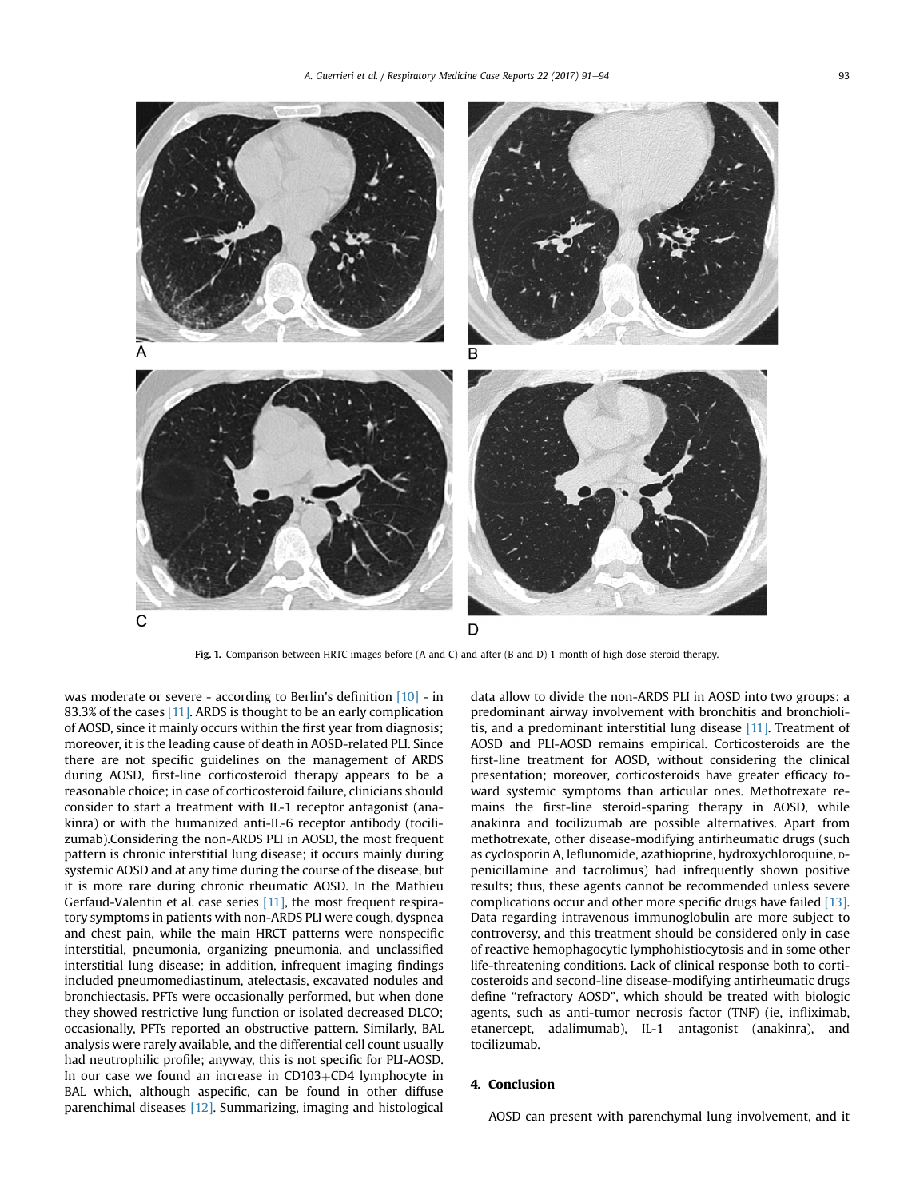<span id="page-2-0"></span>

Fig. 1. Comparison between HRTC images before (A and C) and after (B and D) 1 month of high dose steroid therapy.

was moderate or severe - according to Berlin's definition [\[10\]](#page-3-0) - in 83.3% of the cases [\[11\].](#page-3-0) ARDS is thought to be an early complication of AOSD, since it mainly occurs within the first year from diagnosis; moreover, it is the leading cause of death in AOSD-related PLI. Since there are not specific guidelines on the management of ARDS during AOSD, first-line corticosteroid therapy appears to be a reasonable choice; in case of corticosteroid failure, clinicians should consider to start a treatment with IL-1 receptor antagonist (anakinra) or with the humanized anti-IL-6 receptor antibody (tocilizumab).Considering the non-ARDS PLI in AOSD, the most frequent pattern is chronic interstitial lung disease; it occurs mainly during systemic AOSD and at any time during the course of the disease, but it is more rare during chronic rheumatic AOSD. In the Mathieu Gerfaud-Valentin et al. case series [\[11\],](#page-3-0) the most frequent respiratory symptoms in patients with non-ARDS PLI were cough, dyspnea and chest pain, while the main HRCT patterns were nonspecific interstitial, pneumonia, organizing pneumonia, and unclassified interstitial lung disease; in addition, infrequent imaging findings included pneumomediastinum, atelectasis, excavated nodules and bronchiectasis. PFTs were occasionally performed, but when done they showed restrictive lung function or isolated decreased DLCO; occasionally, PFTs reported an obstructive pattern. Similarly, BAL analysis were rarely available, and the differential cell count usually had neutrophilic profile; anyway, this is not specific for PLI-AOSD. In our case we found an increase in  $CD103+CD4$  lymphocyte in BAL which, although aspecific, can be found in other diffuse parenchimal diseases [\[12\]](#page-3-0). Summarizing, imaging and histological data allow to divide the non-ARDS PLI in AOSD into two groups: a predominant airway involvement with bronchitis and bronchiolitis, and a predominant interstitial lung disease [\[11\]](#page-3-0). Treatment of AOSD and PLI-AOSD remains empirical. Corticosteroids are the first-line treatment for AOSD, without considering the clinical presentation; moreover, corticosteroids have greater efficacy toward systemic symptoms than articular ones. Methotrexate remains the first-line steroid-sparing therapy in AOSD, while anakinra and tocilizumab are possible alternatives. Apart from methotrexate, other disease-modifying antirheumatic drugs (such as cyclosporin A, leflunomide, azathioprine, hydroxychloroquine, Dpenicillamine and tacrolimus) had infrequently shown positive results; thus, these agents cannot be recommended unless severe complications occur and other more specific drugs have failed [\[13\].](#page-3-0) Data regarding intravenous immunoglobulin are more subject to controversy, and this treatment should be considered only in case of reactive hemophagocytic lymphohistiocytosis and in some other life-threatening conditions. Lack of clinical response both to corticosteroids and second-line disease-modifying antirheumatic drugs define "refractory AOSD", which should be treated with biologic agents, such as anti-tumor necrosis factor (TNF) (ie, infliximab, etanercept, adalimumab), IL-1 antagonist (anakinra), and tocilizumab.

## 4. Conclusion

AOSD can present with parenchymal lung involvement, and it